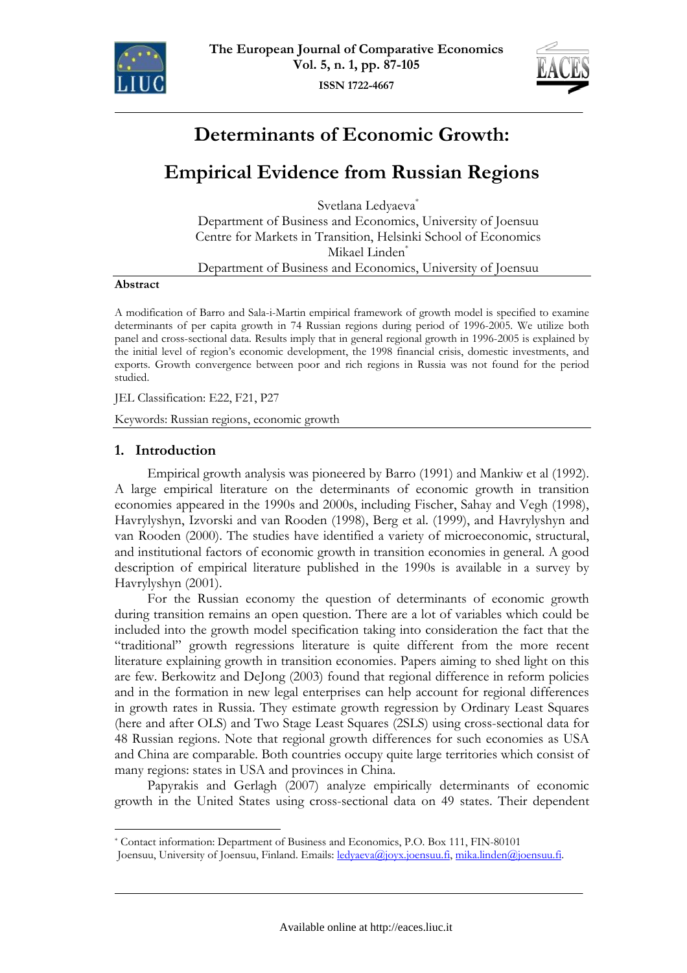



# **Determinants of Economic Growth:**

# **Empirical Evidence from Russian Regions**

Svetlana Ledyaeva\* Department of Business and Economics, University of Joensuu Centre for Markets in Transition, Helsinki School of Economics Mikael Linden\* Department of Business and Economics, University of Joensuu

#### **Abstract**

A modification of Barro and Sala-i-Martin empirical framework of growth model is specified to examine determinants of per capita growth in 74 Russian regions during period of 1996-2005. We utilize both panel and cross-sectional data. Results imply that in general regional growth in 1996-2005 is explained by the initial level of region's economic development, the 1998 financial crisis, domestic investments, and exports. Growth convergence between poor and rich regions in Russia was not found for the period studied.

JEL Classification: E22, F21, P27

Keywords: Russian regions, economic growth

## **1. Introduction**

 $\overline{a}$ 

Empirical growth analysis was pioneered by Barro (1991) and Mankiw et al (1992). A large empirical literature on the determinants of economic growth in transition economies appeared in the 1990s and 2000s, including Fischer, Sahay and Vegh (1998), Havrylyshyn, Izvorski and van Rooden (1998), Berg et al. (1999), and Havrylyshyn and van Rooden (2000). The studies have identified a variety of microeconomic, structural, and institutional factors of economic growth in transition economies in general. A good description of empirical literature published in the 1990s is available in a survey by Havrylyshyn (2001).

For the Russian economy the question of determinants of economic growth during transition remains an open question. There are a lot of variables which could be included into the growth model specification taking into consideration the fact that the "traditional" growth regressions literature is quite different from the more recent literature explaining growth in transition economies. Papers aiming to shed light on this are few. Berkowitz and DeJong (2003) found that regional difference in reform policies and in the formation in new legal enterprises can help account for regional differences in growth rates in Russia. They estimate growth regression by Ordinary Least Squares (here and after OLS) and Two Stage Least Squares (2SLS) using cross-sectional data for 48 Russian regions. Note that regional growth differences for such economies as USA and China are comparable. Both countries occupy quite large territories which consist of many regions: states in USA and provinces in China.

Papyrakis and Gerlagh (2007) analyze empirically determinants of economic growth in the United States using cross-sectional data on 49 states. Their dependent

<sup>\*</sup> Contact information: Department of Business and Economics, P.O. Box 111, FIN-80101

Joensuu, University of Joensuu, Finland. Emails: ledyaeva@joyx.joensuu.fi, mika.linden@joensuu.fi.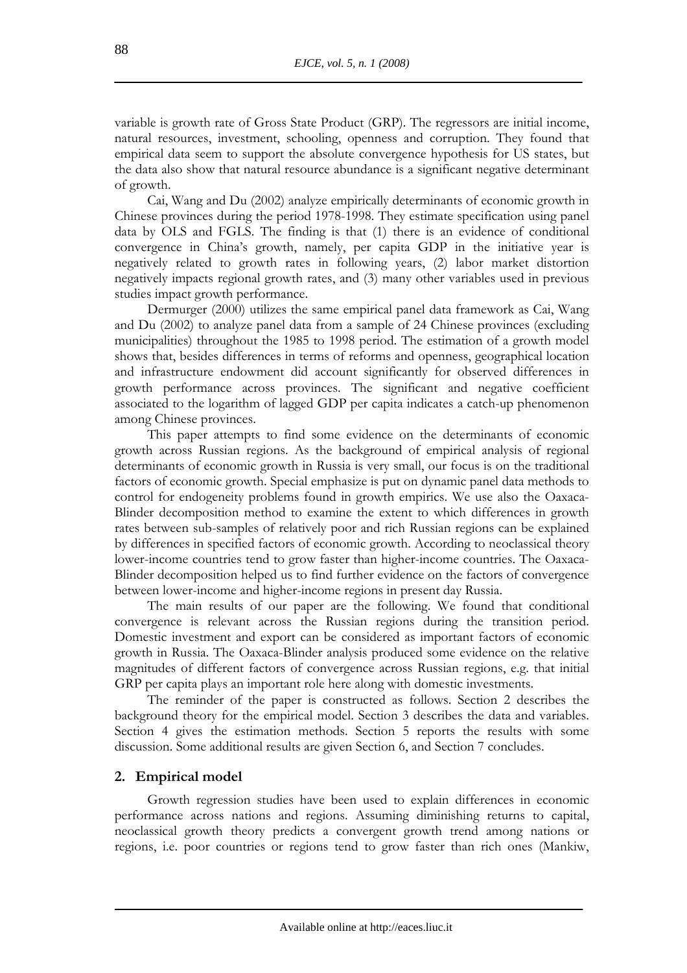variable is growth rate of Gross State Product (GRP). The regressors are initial income, natural resources, investment, schooling, openness and corruption. They found that empirical data seem to support the absolute convergence hypothesis for US states, but the data also show that natural resource abundance is a significant negative determinant of growth.

Cai, Wang and Du (2002) analyze empirically determinants of economic growth in Chinese provinces during the period 1978-1998. They estimate specification using panel data by OLS and FGLS. The finding is that (1) there is an evidence of conditional convergence in China's growth, namely, per capita GDP in the initiative year is negatively related to growth rates in following years, (2) labor market distortion negatively impacts regional growth rates, and (3) many other variables used in previous studies impact growth performance.

Dermurger (2000) utilizes the same empirical panel data framework as Cai, Wang and Du (2002) to analyze panel data from a sample of 24 Chinese provinces (excluding municipalities) throughout the 1985 to 1998 period. The estimation of a growth model shows that, besides differences in terms of reforms and openness, geographical location and infrastructure endowment did account significantly for observed differences in growth performance across provinces. The significant and negative coefficient associated to the logarithm of lagged GDP per capita indicates a catch-up phenomenon among Chinese provinces.

This paper attempts to find some evidence on the determinants of economic growth across Russian regions. As the background of empirical analysis of regional determinants of economic growth in Russia is very small, our focus is on the traditional factors of economic growth. Special emphasize is put on dynamic panel data methods to control for endogeneity problems found in growth empirics. We use also the Oaxaca-Blinder decomposition method to examine the extent to which differences in growth rates between sub-samples of relatively poor and rich Russian regions can be explained by differences in specified factors of economic growth. According to neoclassical theory lower-income countries tend to grow faster than higher-income countries. The Oaxaca-Blinder decomposition helped us to find further evidence on the factors of convergence between lower-income and higher-income regions in present day Russia.

The main results of our paper are the following. We found that conditional convergence is relevant across the Russian regions during the transition period. Domestic investment and export can be considered as important factors of economic growth in Russia. The Oaxaca-Blinder analysis produced some evidence on the relative magnitudes of different factors of convergence across Russian regions, e.g. that initial GRP per capita plays an important role here along with domestic investments.

The reminder of the paper is constructed as follows. Section 2 describes the background theory for the empirical model. Section 3 describes the data and variables. Section 4 gives the estimation methods. Section 5 reports the results with some discussion. Some additional results are given Section 6, and Section 7 concludes.

## **2. Empirical model**

Growth regression studies have been used to explain differences in economic performance across nations and regions. Assuming diminishing returns to capital, neoclassical growth theory predicts a convergent growth trend among nations or regions, i.e. poor countries or regions tend to grow faster than rich ones (Mankiw,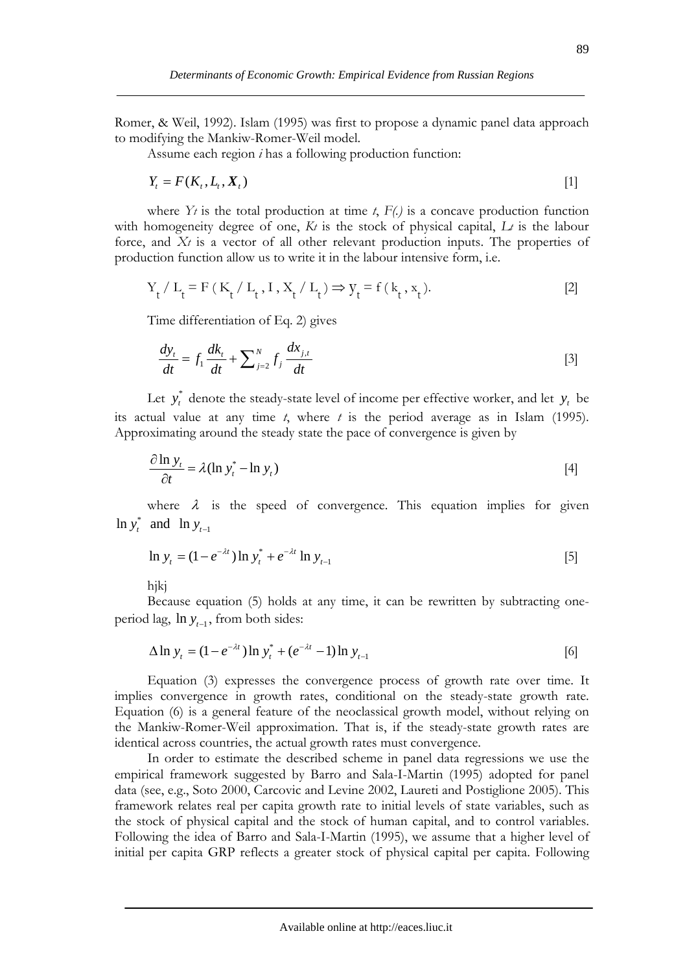Romer, & Weil, 1992). Islam (1995) was first to propose a dynamic panel data approach to modifying the Mankiw-Romer-Weil model.

Assume each region *i* has a following production function:

$$
Y_t = F(K_t, L_t, X_t) \tag{1}
$$

where  $Y_t$  is the total production at time  $t$ ,  $F(t)$  is a concave production function with homogeneity degree of one, *Kt* is the stock of physical capital, *Lt* is the labour force, and *Xt* is a vector of all other relevant production inputs. The properties of production function allow us to write it in the labour intensive form, i.e.

$$
Y_t / L_t = F(K_t / L_t, I, X_t / L_t) \Rightarrow y_t = f(k_t, x_t). \tag{2}
$$

Time differentiation of Eq. 2) gives

$$
\frac{dy_t}{dt} = f_1 \frac{dk_t}{dt} + \sum_{j=2}^{N} f_j \frac{dx_{j,t}}{dt}
$$
 [3]

Let  $y_t^*$  denote the steady-state level of income per effective worker, and let  $y_t$  be its actual value at any time *t*, where *t* is the period average as in Islam (1995). Approximating around the steady state the pace of convergence is given by

$$
\frac{\partial \ln y_t}{\partial t} = \lambda (\ln y_t^* - \ln y_t) \tag{4}
$$

where  $\lambda$  is the speed of convergence. This equation implies for given  $\ln y_t^*$  and  $\ln y_{t-1}$ 

$$
\ln y_t = (1 - e^{-\lambda t}) \ln y_t^* + e^{-\lambda t} \ln y_{t-1}
$$
 [5]

hjkj

Because equation (5) holds at any time, it can be rewritten by subtracting oneperiod lag,  $\ln y_{t-1}$ , from both sides:

$$
\Delta \ln y_t = (1 - e^{-\lambda t}) \ln y_t^* + (e^{-\lambda t} - 1) \ln y_{t-1}
$$
 [6]

Equation (3) expresses the convergence process of growth rate over time. It implies convergence in growth rates, conditional on the steady-state growth rate. Equation (6) is a general feature of the neoclassical growth model, without relying on the Mankiw-Romer-Weil approximation. That is, if the steady-state growth rates are identical across countries, the actual growth rates must convergence.

In order to estimate the described scheme in panel data regressions we use the empirical framework suggested by Barro and Sala-I-Martin (1995) adopted for panel data (see, e.g., Soto 2000, Carcovic and Levine 2002, Laureti and Postiglione 2005). This framework relates real per capita growth rate to initial levels of state variables, such as the stock of physical capital and the stock of human capital, and to control variables. Following the idea of Barro and Sala-I-Martin (1995), we assume that a higher level of initial per capita GRP reflects a greater stock of physical capital per capita. Following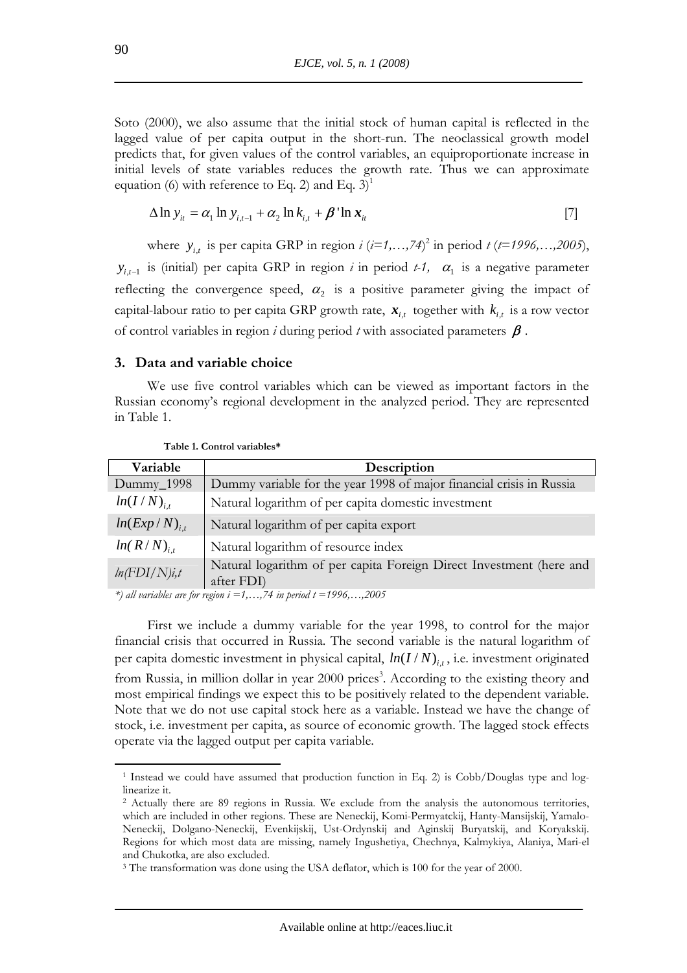Soto (2000), we also assume that the initial stock of human capital is reflected in the lagged value of per capita output in the short-run. The neoclassical growth model predicts that, for given values of the control variables, an equiproportionate increase in initial levels of state variables reduces the growth rate. Thus we can approximate equation (6) with reference to Eq. 2) and Eq.  $3$ <sup>1</sup>

$$
\Delta \ln y_{it} = \alpha_1 \ln y_{i,t-1} + \alpha_2 \ln k_{i,t} + \beta' \ln x_{it}
$$
\n[7]

where  $y_{i,t}$  is per capita GRP in region *i* (*i*=1,...,74)<sup>2</sup> in period *t* (*t*=1996,...,2005),  $y_{i,t-1}$  is (initial) per capita GRP in region *i* in period *t-1*,  $\alpha_1$  is a negative parameter reflecting the convergence speed,  $\alpha_2$  is a positive parameter giving the impact of capital-labour ratio to per capita GRP growth rate,  $\boldsymbol{x}_{i}$ , together with  $k_{i}$ , is a row vector of control variables in region  $i$  during period  $t$  with associated parameters  $\beta$ .

## **3. Data and variable choice**

We use five control variables which can be viewed as important factors in the Russian economy's regional development in the analyzed period. They are represented in Table 1.

| Variable                                                                                                                                                                                                                                                                                                                                                    | Description                                                                       |
|-------------------------------------------------------------------------------------------------------------------------------------------------------------------------------------------------------------------------------------------------------------------------------------------------------------------------------------------------------------|-----------------------------------------------------------------------------------|
| Dummy_1998                                                                                                                                                                                                                                                                                                                                                  | Dummy variable for the year 1998 of major financial crisis in Russia              |
| $ln(I/N)_{i,t}$                                                                                                                                                                                                                                                                                                                                             | Natural logarithm of per capita domestic investment                               |
| $ln(Exp/N)_{i,t}$                                                                                                                                                                                                                                                                                                                                           | Natural logarithm of per capita export                                            |
| $ln(R/N)_{i,t}$                                                                                                                                                                                                                                                                                                                                             | Natural logarithm of resource index                                               |
| ln(FDI/N)i,t                                                                                                                                                                                                                                                                                                                                                | Natural logarithm of per capita Foreign Direct Investment (here and<br>after FDI) |
| $\mathcal{L}$ $\mathcal{L}$ $\mathcal{L}$ $\mathcal{L}$ $\mathcal{L}$ $\mathcal{L}$ $\mathcal{L}$ $\mathcal{L}$ $\mathcal{L}$ $\mathcal{L}$ $\mathcal{L}$ $\mathcal{L}$ $\mathcal{L}$ $\mathcal{L}$ $\mathcal{L}$ $\mathcal{L}$ $\mathcal{L}$ $\mathcal{L}$ $\mathcal{L}$ $\mathcal{L}$ $\mathcal{L}$ $\mathcal{L}$ $\mathcal{L}$ $\mathcal{L}$ $\mathcal{$ | $\overline{z}$ $\cdots$ $\overline{z}$ $\cdots$ $\overline{z}$                    |

**Table 1. Control variables\*** 

*\*) all variables are for region i =1,…,74 in period t =1996,…,2005* 

First we include a dummy variable for the year 1998, to control for the major financial crisis that occurred in Russia. The second variable is the natural logarithm of per capita domestic investment in physical capital,  $ln(I/N)_{i,t}$ , i.e. investment originated from Russia, in million dollar in year 2000 prices<sup>3</sup>. According to the existing theory and most empirical findings we expect this to be positively related to the dependent variable. Note that we do not use capital stock here as a variable. Instead we have the change of stock, i.e. investment per capita, as source of economic growth. The lagged stock effects operate via the lagged output per capita variable.

<sup>1</sup> Instead we could have assumed that production function in Eq. 2) is Cobb/Douglas type and loglinearize it.

<sup>&</sup>lt;sup>2</sup> Actually there are 89 regions in Russia. We exclude from the analysis the autonomous territories, which are included in other regions. These are Neneckij, Komi-Permyatckij, Hanty-Mansijskij, Yamalo-Neneckij, Dolgano-Neneckij, Evenkijskij, Ust-Ordynskij and Aginskij Buryatskij, and Koryakskij. Regions for which most data are missing, namely Ingushetiya, Chechnya, Kalmykiya, Alaniya, Mari-el and Chukotka, are also excluded.

<sup>&</sup>lt;sup>3</sup> The transformation was done using the USA deflator, which is 100 for the year of 2000.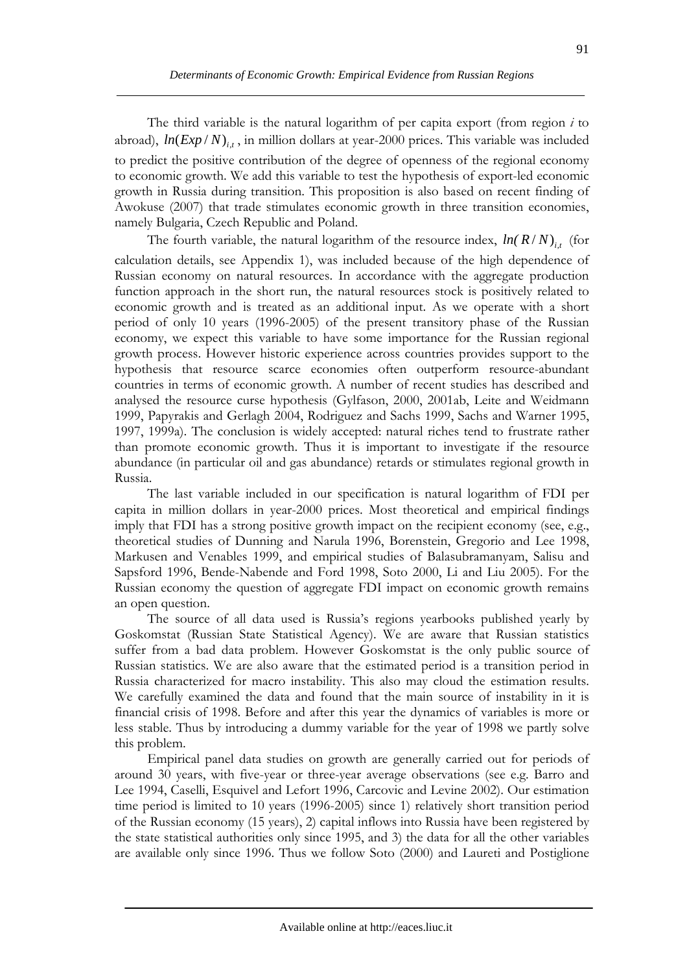The third variable is the natural logarithm of per capita export (from region *i* to abroad),  $ln(Exp/N)_{i}$ , in million dollars at year-2000 prices. This variable was included to predict the positive contribution of the degree of openness of the regional economy to economic growth. We add this variable to test the hypothesis of export-led economic growth in Russia during transition. This proposition is also based on recent finding of Awokuse (2007) that trade stimulates economic growth in three transition economies, namely Bulgaria, Czech Republic and Poland.

The fourth variable, the natural logarithm of the resource index,  $ln(R/N)$ <sub>it</sub> (for calculation details, see Appendix 1), was included because of the high dependence of Russian economy on natural resources. In accordance with the aggregate production function approach in the short run, the natural resources stock is positively related to economic growth and is treated as an additional input. As we operate with a short period of only 10 years (1996-2005) of the present transitory phase of the Russian economy, we expect this variable to have some importance for the Russian regional growth process. However historic experience across countries provides support to the hypothesis that resource scarce economies often outperform resource-abundant countries in terms of economic growth. A number of recent studies has described and analysed the resource curse hypothesis (Gylfason, 2000, 2001ab, Leite and Weidmann 1999, Papyrakis and Gerlagh 2004, Rodriguez and Sachs 1999, Sachs and Warner 1995, 1997, 1999a). The conclusion is widely accepted: natural riches tend to frustrate rather than promote economic growth. Thus it is important to investigate if the resource abundance (in particular oil and gas abundance) retards or stimulates regional growth in Russia.

The last variable included in our specification is natural logarithm of FDI per capita in million dollars in year-2000 prices. Most theoretical and empirical findings imply that FDI has a strong positive growth impact on the recipient economy (see, e.g., theoretical studies of Dunning and Narula 1996, Borenstein, Gregorio and Lee 1998, Markusen and Venables 1999, and empirical studies of Balasubramanyam, Salisu and Sapsford 1996, Bende-Nabende and Ford 1998, Soto 2000, Li and Liu 2005). For the Russian economy the question of aggregate FDI impact on economic growth remains an open question.

The source of all data used is Russia's regions yearbooks published yearly by Goskomstat (Russian State Statistical Agency). We are aware that Russian statistics suffer from a bad data problem. However Goskomstat is the only public source of Russian statistics. We are also aware that the estimated period is a transition period in Russia characterized for macro instability. This also may cloud the estimation results. We carefully examined the data and found that the main source of instability in it is financial crisis of 1998. Before and after this year the dynamics of variables is more or less stable. Thus by introducing a dummy variable for the year of 1998 we partly solve this problem.

Empirical panel data studies on growth are generally carried out for periods of around 30 years, with five-year or three-year average observations (see e.g. Barro and Lee 1994, Caselli, Esquivel and Lefort 1996, Carcovic and Levine 2002). Our estimation time period is limited to 10 years (1996-2005) since 1) relatively short transition period of the Russian economy (15 years), 2) capital inflows into Russia have been registered by the state statistical authorities only since 1995, and 3) the data for all the other variables are available only since 1996. Thus we follow Soto (2000) and Laureti and Postiglione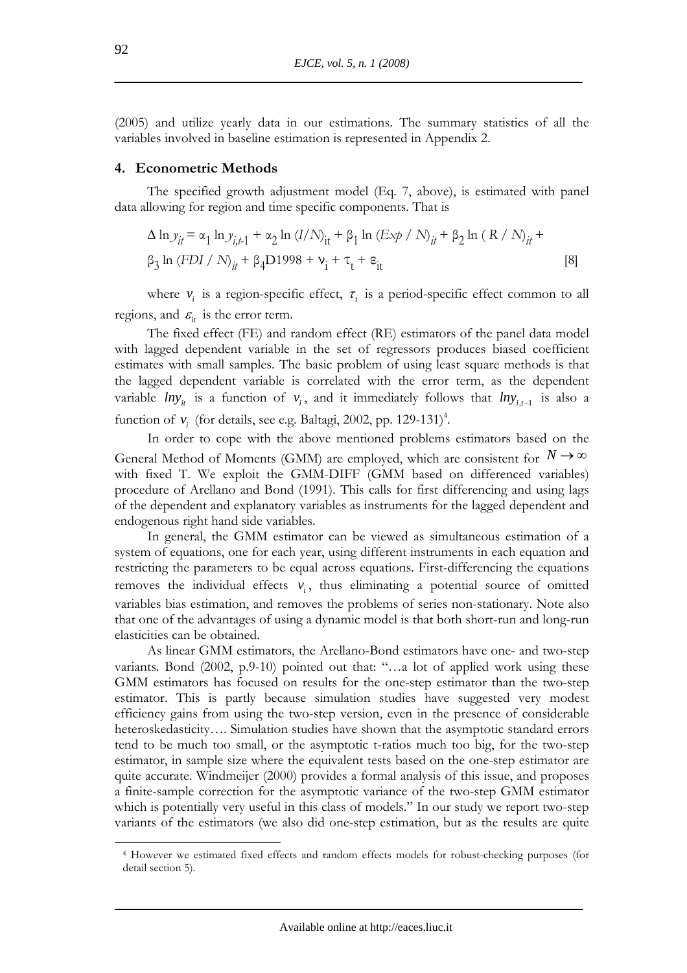(2005) and utilize yearly data in our estimations. The summary statistics of all the variables involved in baseline estimation is represented in Appendix 2.

#### **4. Econometric Methods**

The specified growth adjustment model (Eq. 7, above), is estimated with panel data allowing for region and time specific components. That is

$$
\Delta \ln y_{it} = \alpha_1 \ln y_{i,t-1} + \alpha_2 \ln (I/N)_{it} + \beta_1 \ln (Exp / N)_{it} + \beta_2 \ln (R / N)_{it} +
$$
  
 
$$
\beta_3 \ln (FDI / N)_{it} + \beta_4 D1998 + \nu_i + \tau_t + \varepsilon_{it}
$$
 [8]

where  $v_i$  is a region-specific effect,  $\tau_i$  is a period-specific effect common to all regions, and  $\varepsilon$ <sub>*i*</sub> is the error term.

The fixed effect (FE) and random effect (RE) estimators of the panel data model with lagged dependent variable in the set of regressors produces biased coefficient estimates with small samples. The basic problem of using least square methods is that the lagged dependent variable is correlated with the error term, as the dependent variable  $lny_i$  is a function of  $v_i$ , and it immediately follows that  $lny_i$  is also a

function of  $v_i$  (for details, see e.g. Baltagi, 2002, pp. 129-131)<sup>4</sup>.

In order to cope with the above mentioned problems estimators based on the General Method of Moments (GMM) are employed, which are consistent for  $N \to \infty$ with fixed T. We exploit the GMM-DIFF (GMM based on differenced variables) procedure of Arellano and Bond (1991). This calls for first differencing and using lags of the dependent and explanatory variables as instruments for the lagged dependent and endogenous right hand side variables.

In general, the GMM estimator can be viewed as simultaneous estimation of a system of equations, one for each year, using different instruments in each equation and restricting the parameters to be equal across equations. First-differencing the equations removes the individual effects  $v_i$ , thus eliminating a potential source of omitted variables bias estimation, and removes the problems of series non-stationary. Note also that one of the advantages of using a dynamic model is that both short-run and long-run elasticities can be obtained.

As linear GMM estimators, the Arellano-Bond estimators have one- and two-step variants. Bond (2002, p.9-10) pointed out that: "...a lot of applied work using these GMM estimators has focused on results for the one-step estimator than the two-step estimator. This is partly because simulation studies have suggested very modest efficiency gains from using the two-step version, even in the presence of considerable heteroskedasticity…. Simulation studies have shown that the asymptotic standard errors tend to be much too small, or the asymptotic t-ratios much too big, for the two-step estimator, in sample size where the equivalent tests based on the one-step estimator are quite accurate. Windmeijer (2000) provides a formal analysis of this issue, and proposes a finite-sample correction for the asymptotic variance of the two-step GMM estimator which is potentially very useful in this class of models." In our study we report two-step variants of the estimators (we also did one-step estimation, but as the results are quite

<sup>4</sup> However we estimated fixed effects and random effects models for robust-checking purposes (for detail section 5).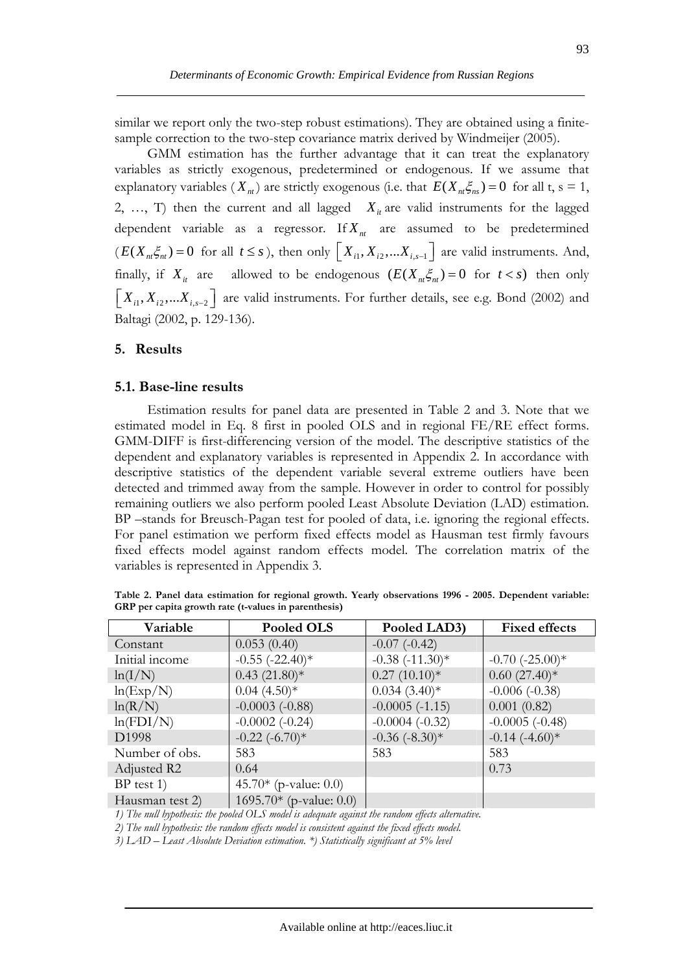similar we report only the two-step robust estimations). They are obtained using a finitesample correction to the two-step covariance matrix derived by Windmeijer (2005).

GMM estimation has the further advantage that it can treat the explanatory variables as strictly exogenous, predetermined or endogenous. If we assume that explanatory variables  $(X_{nt})$  are strictly exogenous (i.e. that  $E(X_{nt} \xi_{ns}) = 0$  for all t, s = 1, 2, ..., T) then the current and all lagged  $X_i$  are valid instruments for the lagged dependent variable as a regressor. If  $X<sub>nt</sub>$  are assumed to be predetermined  $(E(X_n,\xi_n)=0$  for all  $t\leq s$ ), then only  $\left[X_{i1}, X_{i2},...X_{i,s-1}\right]$  are valid instruments. And, finally, if  $X_i$  are allowed to be endogenous  $(E(X_n, \xi_n) = 0$  for  $t < s)$  then only  $\left[ X_{i1}, X_{i2},...X_{i,s-2} \right]$  are valid instruments. For further details, see e.g. Bond (2002) and Baltagi (2002, p. 129-136).

## **5. Results**

#### **5.1. Base-line results**

Estimation results for panel data are presented in Table 2 and 3. Note that we estimated model in Eq. 8 first in pooled OLS and in regional FE/RE effect forms. GMM-DIFF is first-differencing version of the model. The descriptive statistics of the dependent and explanatory variables is represented in Appendix 2. In accordance with descriptive statistics of the dependent variable several extreme outliers have been detected and trimmed away from the sample. However in order to control for possibly remaining outliers we also perform pooled Least Absolute Deviation (LAD) estimation. BP –stands for Breusch-Pagan test for pooled of data, i.e. ignoring the regional effects. For panel estimation we perform fixed effects model as Hausman test firmly favours fixed effects model against random effects model. The correlation matrix of the variables is represented in Appendix 3.

| Variable          | Pooled OLS                 | Pooled LAD3)         | <b>Fixed effects</b> |
|-------------------|----------------------------|----------------------|----------------------|
| Constant          | 0.053(0.40)                | $-0.07$ $(-0.42)$    |                      |
| Initial income    | $-0.55$ $(-22.40)$ *       | $-0.38$ $(-11.30)$ * | $-0.70$ $(-25.00)*$  |
| ln(I/N)           | $0.43$ (21.80)*            | $0.27(10.10)*$       | $0.60(27.40)*$       |
| ln(Exp/N)         | $0.04(4.50)*$              | $0.034(3.40)*$       | $-0.006(-0.38)$      |
| ln(R/N)           | $-0.0003$ $(-0.88)$        | $-0.0005(-1.15)$     | 0.001(0.82)          |
| ln(FDI/N)         | $-0.0002$ $(-0.24)$        | $-0.0004(-0.32)$     | $-0.0005(-0.48)$     |
| D <sub>1998</sub> | $-0.22$ $(-6.70)$ *        | $-0.36$ $(-8.30)$ *  | $-0.14$ $(-4.60)$ *  |
| Number of obs.    | 583                        | 583                  | 583                  |
| Adjusted R2       | 0.64                       |                      | 0.73                 |
| $BP$ test 1)      | 45.70* (p-value: $0.0$ )   |                      |                      |
| Hausman test 2)   | 1695.70* (p-value: $0.0$ ) |                      |                      |

**Table 2. Panel data estimation for regional growth. Yearly observations 1996 - 2005. Dependent variable: GRP per capita growth rate (t-values in parenthesis)** 

*1) The null hypothesis: the pooled OLS model is adequate against the random effects alternative.* 

*2) The null hypothesis: the random effects model is consistent against the fixed effects model.* 

*3) LAD – Least Absolute Deviation estimation. \*) Statistically significant at 5% level*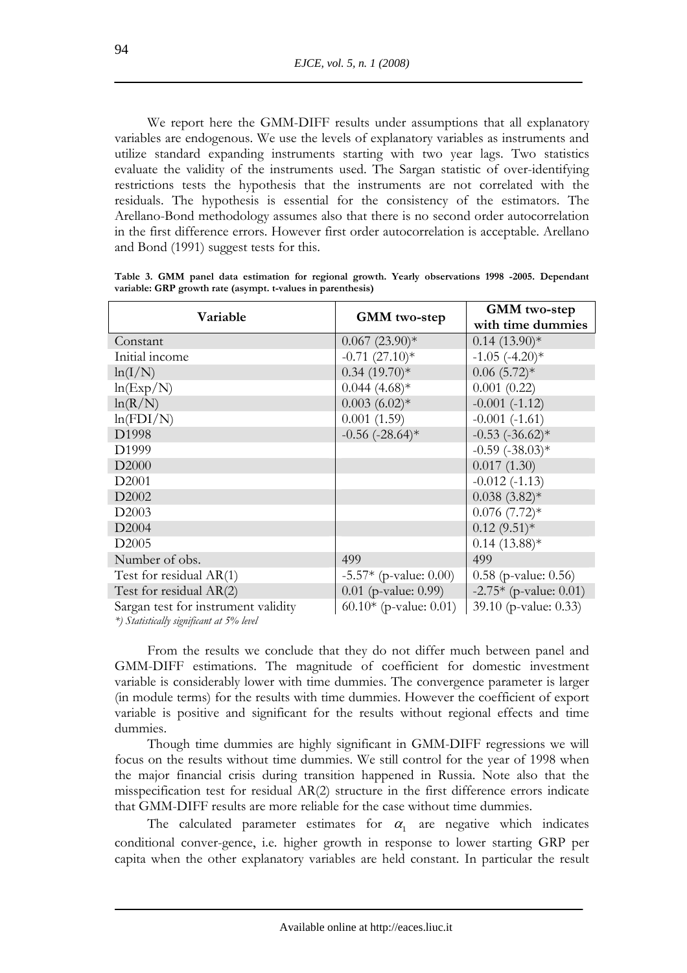We report here the GMM-DIFF results under assumptions that all explanatory variables are endogenous. We use the levels of explanatory variables as instruments and utilize standard expanding instruments starting with two year lags. Two statistics evaluate the validity of the instruments used. The Sargan statistic of over-identifying restrictions tests the hypothesis that the instruments are not correlated with the residuals. The hypothesis is essential for the consistency of the estimators. The Arellano-Bond methodology assumes also that there is no second order autocorrelation in the first difference errors. However first order autocorrelation is acceptable. Arellano and Bond (1991) suggest tests for this.

| Variable                            | <b>GMM</b> two-step      | <b>GMM</b> two-step      |  |
|-------------------------------------|--------------------------|--------------------------|--|
|                                     |                          | with time dummies        |  |
| Constant                            | $0.067$ (23.90)*         | $0.14(13.90)*$           |  |
| Initial income                      | $-0.71(27.10)*$          | $-1.05$ $(-4.20)$ *      |  |
| ln(I/N)                             | $0.34(19.70)*$           | $0.06(5.72)*$            |  |
| ln(Exp/N)                           | $0.044(4.68)*$           | 0.001(0.22)              |  |
| ln(R/N)                             | $0.003(6.02)*$           | $-0.001(-1.12)$          |  |
| ln(FDI/N)                           | 0.001(1.59)              | $-0.001(-1.61)$          |  |
| D1998                               | $-0.56$ $(-28.64)$ *     | $-0.53$ $(-36.62)$ *     |  |
| D <sub>1999</sub>                   |                          | $-0.59$ $(-38.03)*$      |  |
| D <sub>2000</sub>                   |                          | 0.017(1.30)              |  |
| D <sub>2001</sub>                   |                          | $-0.012(-1.13)$          |  |
| D2002                               |                          | $0.038(3.82)*$           |  |
| D <sub>2003</sub>                   |                          | $0.076$ (7.72)*          |  |
| D2004                               |                          | $0.12(9.51)$ *           |  |
| D <sub>2005</sub>                   |                          | $0.14(13.88)*$           |  |
| Number of obs.                      | 499                      | 499                      |  |
| Test for residual AR(1)             | $-5.57*$ (p-value: 0.00) | $0.58$ (p-value: 0.56)   |  |
| Test for residual $AR(2)$           | $0.01$ (p-value: 0.99)   | $-2.75*$ (p-value: 0.01) |  |
| Sargan test for instrument validity | $60.10*$ (p-value: 0.01) | 39.10 (p-value: 0.33)    |  |

**Table 3. GMM panel data estimation for regional growth. Yearly observations 1998 -2005. Dependant variable: GRP growth rate (asympt. t-values in parenthesis)** 

*\*) Statistically significant at 5% level* 

From the results we conclude that they do not differ much between panel and GMM-DIFF estimations. The magnitude of coefficient for domestic investment variable is considerably lower with time dummies. The convergence parameter is larger (in module terms) for the results with time dummies. However the coefficient of export variable is positive and significant for the results without regional effects and time dummies.

Though time dummies are highly significant in GMM-DIFF regressions we will focus on the results without time dummies. We still control for the year of 1998 when the major financial crisis during transition happened in Russia. Note also that the misspecification test for residual AR(2) structure in the first difference errors indicate that GMM-DIFF results are more reliable for the case without time dummies.

The calculated parameter estimates for  $\alpha_1$  are negative which indicates conditional conver-gence, i.e. higher growth in response to lower starting GRP per capita when the other explanatory variables are held constant. In particular the result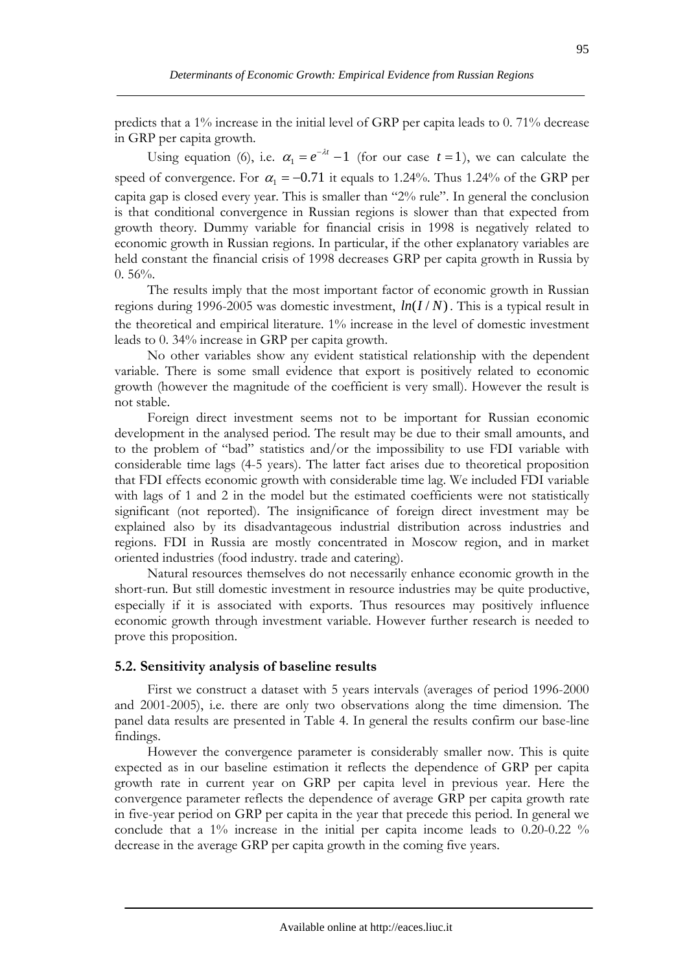predicts that a 1% increase in the initial level of GRP per capita leads to 0. 71% decrease in GRP per capita growth.

Using equation (6), i.e.  $\alpha_1 = e^{-\lambda t} - 1$  (for our case  $t = 1$ ), we can calculate the speed of convergence. For  $\alpha_1 = -0.71$  it equals to 1.24%. Thus 1.24% of the GRP per capita gap is closed every year. This is smaller than "2% rule". In general the conclusion is that conditional convergence in Russian regions is slower than that expected from growth theory. Dummy variable for financial crisis in 1998 is negatively related to economic growth in Russian regions. In particular, if the other explanatory variables are held constant the financial crisis of 1998 decreases GRP per capita growth in Russia by  $0.56%$ 

The results imply that the most important factor of economic growth in Russian regions during 1996-2005 was domestic investment,  $ln(I/N)$ . This is a typical result in the theoretical and empirical literature. 1% increase in the level of domestic investment leads to 0. 34% increase in GRP per capita growth.

No other variables show any evident statistical relationship with the dependent variable. There is some small evidence that export is positively related to economic growth (however the magnitude of the coefficient is very small). However the result is not stable.

Foreign direct investment seems not to be important for Russian economic development in the analysed period. The result may be due to their small amounts, and to the problem of "bad" statistics and/or the impossibility to use FDI variable with considerable time lags (4-5 years). The latter fact arises due to theoretical proposition that FDI effects economic growth with considerable time lag. We included FDI variable with lags of 1 and 2 in the model but the estimated coefficients were not statistically significant (not reported). The insignificance of foreign direct investment may be explained also by its disadvantageous industrial distribution across industries and regions. FDI in Russia are mostly concentrated in Moscow region, and in market oriented industries (food industry. trade and catering).

Natural resources themselves do not necessarily enhance economic growth in the short-run. But still domestic investment in resource industries may be quite productive, especially if it is associated with exports. Thus resources may positively influence economic growth through investment variable. However further research is needed to prove this proposition.

## **5.2. Sensitivity analysis of baseline results**

First we construct a dataset with 5 years intervals (averages of period 1996-2000 and 2001-2005), i.e. there are only two observations along the time dimension. The panel data results are presented in Table 4. In general the results confirm our base-line findings.

However the convergence parameter is considerably smaller now. This is quite expected as in our baseline estimation it reflects the dependence of GRP per capita growth rate in current year on GRP per capita level in previous year. Here the convergence parameter reflects the dependence of average GRP per capita growth rate in five-year period on GRP per capita in the year that precede this period. In general we conclude that a 1% increase in the initial per capita income leads to 0.20-0.22 % decrease in the average GRP per capita growth in the coming five years.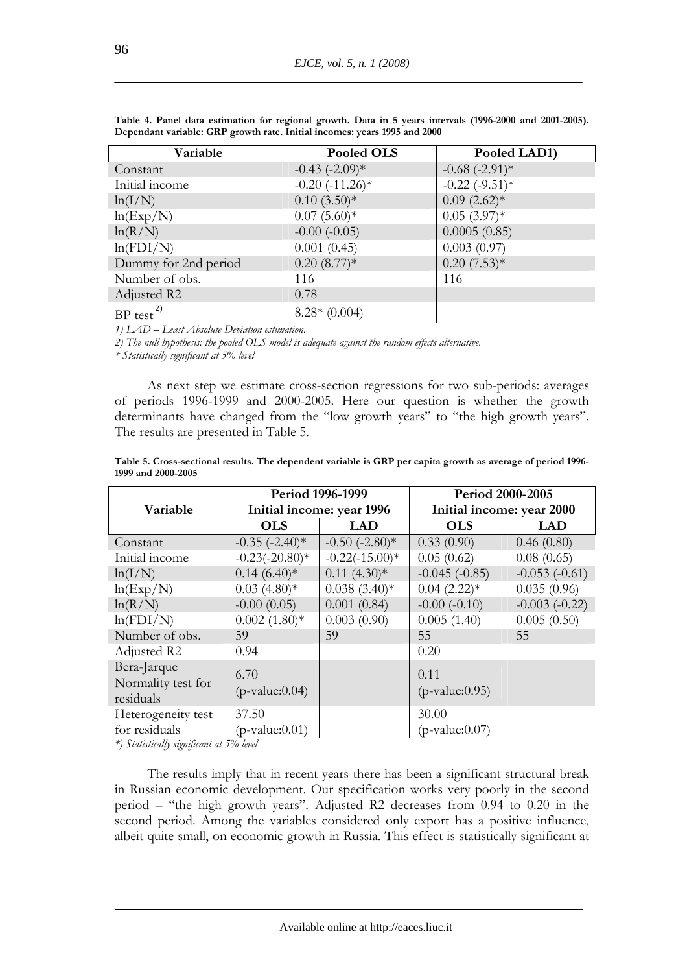| Variable                | Pooled OLS           | Pooled LAD1)                 |
|-------------------------|----------------------|------------------------------|
| Constant                | $-0.43$ $(-2.09)*$   | $-0.68$ (-2.91) <sup>*</sup> |
| Initial income          | $-0.20$ $(-11.26)$ * | $-0.22$ $(-9.51)$ *          |
| ln(I/N)                 | $0.10(3.50)*$        | $0.09(2.62)*$                |
| ln(Exp/N)               | $0.07(5.60)*$        | $0.05(3.97)$ *               |
| ln(R/N)                 | $-0.00$ $(-0.05)$    | 0.0005(0.85)                 |
| ln(FDI/N)               | 0.001(0.45)          | 0.003(0.97)                  |
| Dummy for 2nd period    | $0.20(8.77)*$        | $0.20(7.53)*$                |
| Number of obs.          | 116                  | 116                          |
| Adjusted R2             | 0.78                 |                              |
| $BP$ test <sup>2)</sup> | $8.28*(0.004)$       |                              |

**Table 4. Panel data estimation for regional growth. Data in 5 years intervals (1996-2000 and 2001-2005). Dependant variable: GRP growth rate. Initial incomes: years 1995 and 2000** 

*1) LAD – Least Absolute Deviation estimation.* 

*2) The null hypothesis: the pooled OLS model is adequate against the random effects alternative.* 

*\* Statistically significant at 5% level* 

As next step we estimate cross-section regressions for two sub-periods: averages of periods 1996-1999 and 2000-2005. Here our question is whether the growth determinants have changed from the "low growth years" to "the high growth years". The results are presented in Table 5.

|                                          |                      | Period 1996-1999          | <b>Period 2000-2005</b>   |                 |  |  |  |
|------------------------------------------|----------------------|---------------------------|---------------------------|-----------------|--|--|--|
| Variable                                 |                      | Initial income: year 1996 | Initial income: year 2000 |                 |  |  |  |
|                                          | <b>OLS</b>           | <b>LAD</b>                | <b>OLS</b>                | <b>LAD</b>      |  |  |  |
| Constant                                 | $-0.35$ $(-2.40)$ *  | $-0.50$ $(-2.80)$ *       | 0.33(0.90)                | 0.46(0.80)      |  |  |  |
| Initial income                           | $-0.23(-20.80)$ *    | $-0.22(-15.00)*$          | 0.05(0.62)                | 0.08(0.65)      |  |  |  |
| ln(I/N)                                  | $0.14(6.40)*$        | $0.11(4.30)*$             | $-0.045(-0.85)$           | $-0.053(-0.61)$ |  |  |  |
| ln(Exp/N)                                | $0.03(4.80)*$        | $0.038(3.40)*$            | $0.04$ $(2.22)*$          | 0.035(0.96)     |  |  |  |
| ln(R/N)                                  | $-0.00(0.05)$        | 0.001(0.84)               | $-0.00$ $(-0.10)$         | $-0.003(-0.22)$ |  |  |  |
| ln(FDI/N)                                | $0.002(1.80)*$       | 0.003(0.90)               | 0.005(1.40)               | 0.005(0.50)     |  |  |  |
| Number of obs.                           | 59                   | 59                        | 55                        | 55              |  |  |  |
| Adjusted R2                              | 0.94                 |                           | 0.20                      |                 |  |  |  |
| Bera-Jarque                              | 6.70                 |                           | 0.11                      |                 |  |  |  |
| Normality test for                       |                      |                           |                           |                 |  |  |  |
| residuals                                | $(p-value:0.04)$     |                           | $(p-value:0.95)$          |                 |  |  |  |
| Heterogeneity test                       | 37.50                |                           | 30.00                     |                 |  |  |  |
| for residuals                            | $(p$ -value: $0.01)$ |                           | $(p-value:0.07)$          |                 |  |  |  |
| *) Statistically significant at 5% level |                      |                           |                           |                 |  |  |  |

**Table 5. Cross-sectional results. The dependent variable is GRP per capita growth as average of period 1996- 1999 and 2000-2005** 

The results imply that in recent years there has been a significant structural break in Russian economic development. Our specification works very poorly in the second period – "the high growth years". Adjusted R2 decreases from 0.94 to 0.20 in the second period. Among the variables considered only export has a positive influence, albeit quite small, on economic growth in Russia. This effect is statistically significant at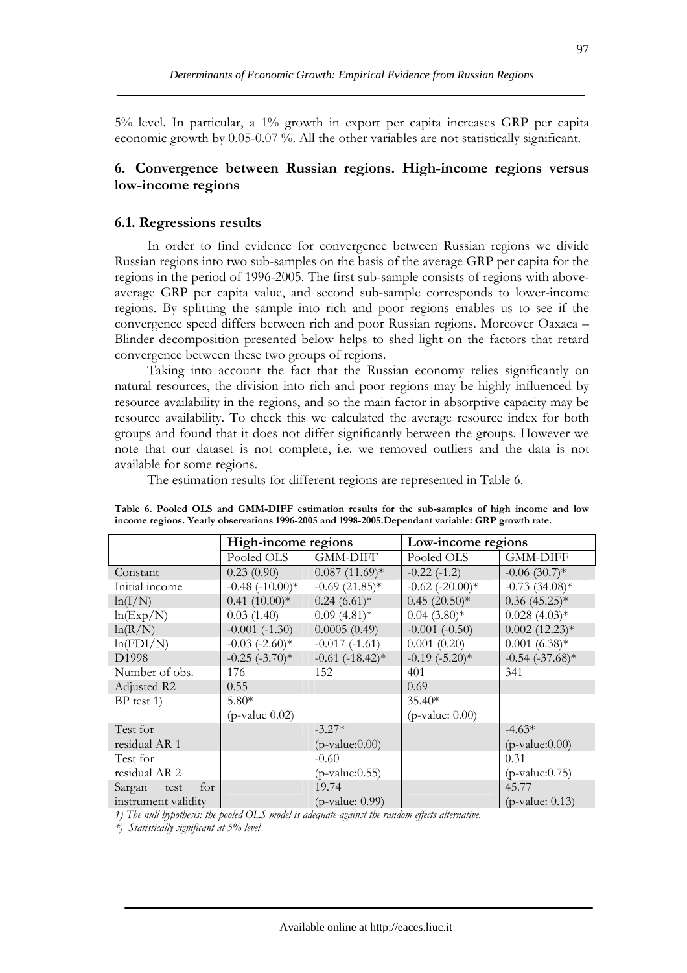5% level. In particular, a 1% growth in export per capita increases GRP per capita economic growth by 0.05-0.07 %. All the other variables are not statistically significant.

## **6. Convergence between Russian regions. High-income regions versus low-income regions**

## **6.1. Regressions results**

In order to find evidence for convergence between Russian regions we divide Russian regions into two sub-samples on the basis of the average GRP per capita for the regions in the period of 1996-2005. The first sub-sample consists of regions with aboveaverage GRP per capita value, and second sub-sample corresponds to lower-income regions. By splitting the sample into rich and poor regions enables us to see if the convergence speed differs between rich and poor Russian regions. Moreover Oaxaca – Blinder decomposition presented below helps to shed light on the factors that retard convergence between these two groups of regions.

Taking into account the fact that the Russian economy relies significantly on natural resources, the division into rich and poor regions may be highly influenced by resource availability in the regions, and so the main factor in absorptive capacity may be resource availability. To check this we calculated the average resource index for both groups and found that it does not differ significantly between the groups. However we note that our dataset is not complete, i.e. we removed outliers and the data is not available for some regions.

**High-income regions Low-income regions**  Pooled OLS GMM-DIFF Pooled OLS GMM-DIFF Constant  $(0.23 \ (0.90) \ (0.087 \ (11.69) \times \ (-0.22 \ (-1.2) \ (-0.06 \ (30.7) \times \ (-0.22 \ (-1.2) \ -0.06 \ (-0.06 \ (-0.06 \ (-0.06 \ (-0.06 \ (-0.06 \ (-0.06 \ (-0.06 \ (-0.06 \ (-0.06 \ (-0.06 \ (-0.06 \ (-0.06 \ (-0.06 \ (-0.06 \ (-0.06 \ (-0.06 \ (-0.06 \ (-0.06 \ (-0.06 \ (-0.06 \ (-0.06 \ (-0.06 \ (-0.0$ Initial income  $-0.48 (-10.00)^* -0.69 (21.85)^* -0.62 (-20.00)^* -0.73 (34.08)^*$  $\ln(I/N)$  0.41 (10.00)\* 0.24 (6.61)\* 0.45 (20.50)\* 0.36 (45.25)\*  $\ln(\text{Exp/N})$   $\qquad$   $(0.03 \,(1.40)$   $\qquad$   $(0.09 \,(4.81)^*$   $\qquad$   $(0.04 \,(3.80)^*$   $\qquad$   $(0.028 \,(4.03)^*$  $\ln(R/N)$   $\qquad -0.001$  (-1.30)  $\qquad$  0.0005 (0.49)  $\qquad$  -0.001 (-0.50)  $\qquad$  0.002 (12.23)\*  $\ln(\text{FDI/N})$   $-0.03$   $(-2.60)^*$   $-0.017$   $(-1.61)$   $0.001$   $(0.20)$   $0.001$   $(6.38)^*$ D1998  $\vert$  -0.25 (-3.70)\*  $\vert$  -0.61 (-18.42)\*  $\vert$  -0.19 (-5.20)\*  $\vert$  -0.54 (-37.68)\* Number of obs. | 176 | 152 | 401 | 341 Adjusted R2  $\vert$  0.55  $\vert$  0.69  $BP$  test 1) 5.80\* (p-value 0.02) 35.40\* (p-value: 0.00) Test for residual AR 1 -3.27\* (p-value:0.00)  $-4.63*$ (p-value:0.00) Test for residual AR 2 -0.60 (p-value:0.55) 0.31 (p-value:0.75) Sargan test for instrument validity 19.74 (p-value: 0.99) 45.77 (p-value: 0.13)

The estimation results for different regions are represented in Table 6.

**Table 6. Pooled OLS and GMM-DIFF estimation results for the sub-samples of high income and low income regions. Yearly observations 1996-2005 and 1998-2005.Dependant variable: GRP growth rate.** 

*1) The null hypothesis: the pooled OLS model is adequate against the random effects alternative.* 

*\*) Statistically significant at 5% level*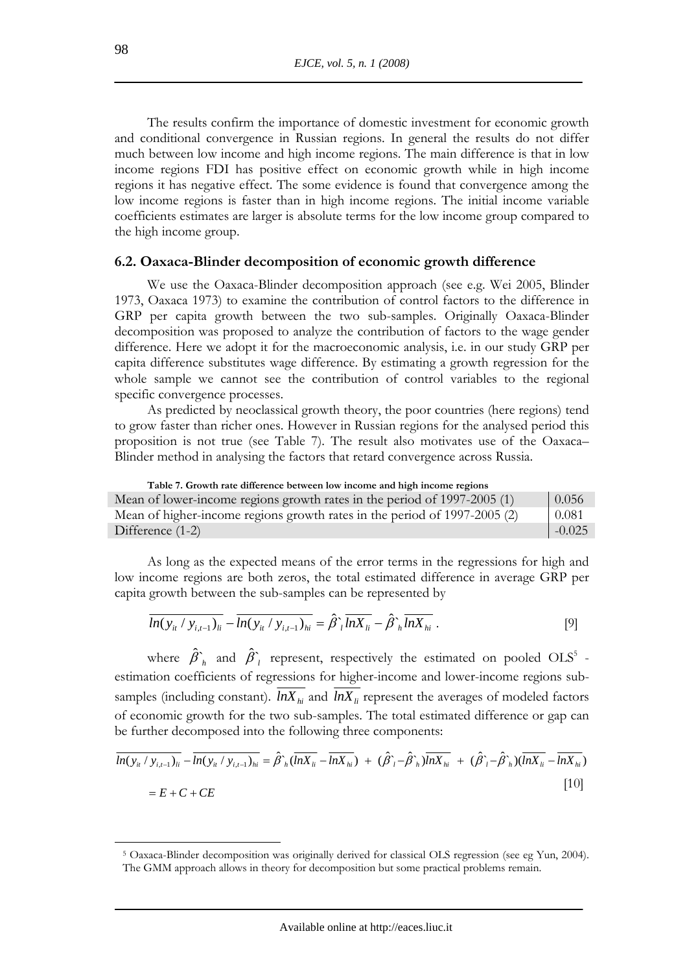The results confirm the importance of domestic investment for economic growth and conditional convergence in Russian regions. In general the results do not differ much between low income and high income regions. The main difference is that in low income regions FDI has positive effect on economic growth while in high income regions it has negative effect. The some evidence is found that convergence among the low income regions is faster than in high income regions. The initial income variable coefficients estimates are larger is absolute terms for the low income group compared to the high income group.

#### **6.2. Oaxaca-Blinder decomposition of economic growth difference**

We use the Oaxaca-Blinder decomposition approach (see e.g. Wei 2005, Blinder 1973, Oaxaca 1973) to examine the contribution of control factors to the difference in GRP per capita growth between the two sub-samples. Originally Oaxaca-Blinder decomposition was proposed to analyze the contribution of factors to the wage gender difference. Here we adopt it for the macroeconomic analysis, i.e. in our study GRP per capita difference substitutes wage difference. By estimating a growth regression for the whole sample we cannot see the contribution of control variables to the regional specific convergence processes.

As predicted by neoclassical growth theory, the poor countries (here regions) tend to grow faster than richer ones. However in Russian regions for the analysed period this proposition is not true (see Table 7). The result also motivates use of the Oaxaca– Blinder method in analysing the factors that retard convergence across Russia.

**Table 7. Growth rate difference between low income and high income regions**  Mean of lower-income regions growth rates in the period of  $1997-2005(1)$  0.056 Mean of higher-income regions growth rates in the period of 1997-2005  $(2)$  | 0.081 Difference  $(1-2)$  -0.025

As long as the expected means of the error terms in the regressions for high and low income regions are both zeros, the total estimated difference in average GRP per capita growth between the sub-samples can be represented by

$$
\overline{ln(y_{it} / y_{i,t-1})_{li}} - \overline{ln(y_{it} / y_{i,t-1})_{hi}} = \hat{\beta} \hat{\beta} \overline{lnX_{li}} - \hat{\beta} \hat{\beta} \overline{lnX_{hi}}.
$$
 [9]

where  $\hat{\beta}_{h}$  and  $\hat{\beta}_{l}$  represent, respectively the estimated on pooled OLS<sup>5</sup> estimation coefficients of regressions for higher-income and lower-income regions subsamples (including constant).  $\overline{lnX}_{hi}$  and  $\overline{lnX}_{li}$  represent the averages of modeled factors of economic growth for the two sub-samples. The total estimated difference or gap can be further decomposed into the following three components:

$$
\overline{\ln(y_{it} / y_{i,t-1})_{li}} - \overline{\ln(y_{it} / y_{i,t-1})_{hi}} = \hat{\beta}_{h} \left( \overline{\ln X_{li}} - \overline{\ln X_{hi}} \right) + (\hat{\beta}_{l} - \hat{\beta}_{h}) \overline{\ln X_{hi}} + (\hat{\beta}_{l} - \hat{\beta}_{h}) (\overline{\ln X_{li}} - \overline{\ln X_{hi}})
$$
\n
$$
= E + C + CE \tag{10}
$$

<sup>5</sup> Oaxaca-Blinder decomposition was originally derived for classical OLS regression (see eg Yun, 2004). The GMM approach allows in theory for decomposition but some practical problems remain.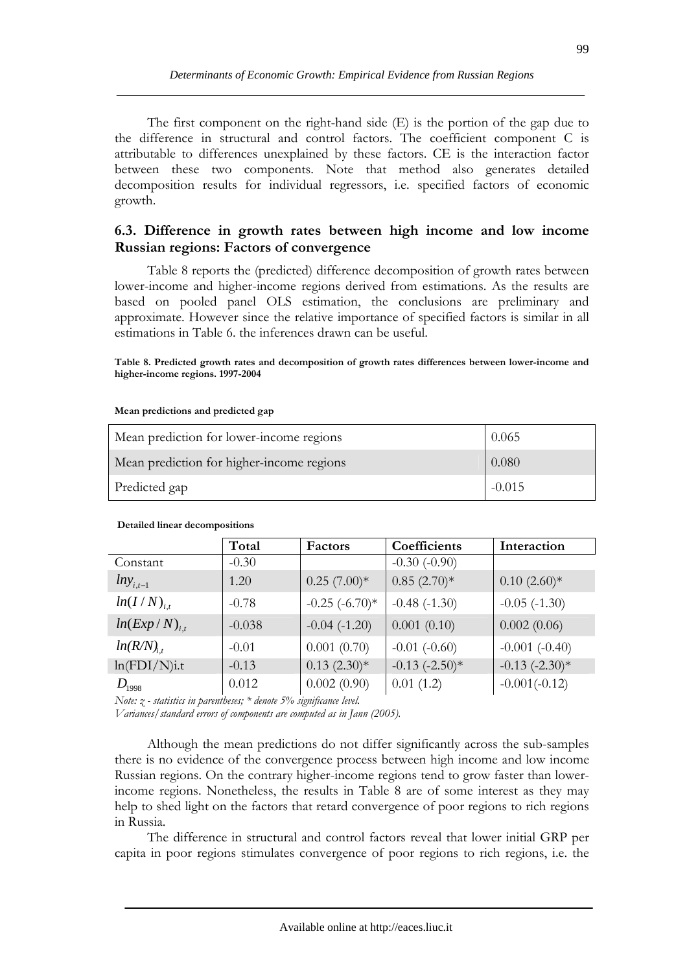The first component on the right-hand side (E) is the portion of the gap due to the difference in structural and control factors. The coefficient component C is attributable to differences unexplained by these factors. CE is the interaction factor between these two components. Note that method also generates detailed decomposition results for individual regressors, i.e. specified factors of economic growth.

# **6.3. Difference in growth rates between high income and low income Russian regions: Factors of convergence**

Table 8 reports the (predicted) difference decomposition of growth rates between lower-income and higher-income regions derived from estimations. As the results are based on pooled panel OLS estimation, the conclusions are preliminary and approximate. However since the relative importance of specified factors is similar in all estimations in Table 6. the inferences drawn can be useful.

**Table 8. Predicted growth rates and decomposition of growth rates differences between lower-income and higher-income regions. 1997-2004** 

#### **Mean predictions and predicted gap**

| Mean prediction for lower-income regions  | 0.065    |
|-------------------------------------------|----------|
| Mean prediction for higher-income regions | 0.080    |
| Predicted gap                             | $-0.015$ |

|                         | Total    | Factors             | Coefficients        | Interaction         |
|-------------------------|----------|---------------------|---------------------|---------------------|
| Constant                | $-0.30$  |                     | $-0.30$ $(-0.90)$   |                     |
| $lny_{i,t-1}$           | 1.20     | $0.25(7.00)*$       | $0.85(2.70)*$       | $0.10(2.60)*$       |
| $ln(I/N)_{i,t}$         | $-0.78$  | $-0.25$ $(-6.70)$ * | $-0.48(-1.30)$      | $-0.05$ $(-1.30)$   |
| $ln(Exp/N)_{i,t}$       | $-0.038$ | $-0.04$ $(-1.20)$   | 0.001(0.10)         | 0.002(0.06)         |
| $ln(R/N)$ <sub>it</sub> | $-0.01$  | 0.001(0.70)         | $-0.01$ $(-0.60)$   | $-0.001$ $(-0.40)$  |
| ln(FDI/N)i.t            | $-0.13$  | $0.13(2.30)*$       | $-0.13$ $(-2.50)$ * | $-0.13$ $(-2.30)$ * |
| $D_{1998}$              | 0.012    | 0.002(0.90)         | 0.01(1.2)           | $-0.001(-0.12)$     |

 **Detailed linear decompositions** 

*Note: z - statistics in parentheses; \* denote 5% significance level.* 

*Variances/standard errors of components are computed as in Jann (2005).* 

Although the mean predictions do not differ significantly across the sub-samples there is no evidence of the convergence process between high income and low income Russian regions. On the contrary higher-income regions tend to grow faster than lowerincome regions. Nonetheless, the results in Table 8 are of some interest as they may help to shed light on the factors that retard convergence of poor regions to rich regions in Russia.

The difference in structural and control factors reveal that lower initial GRP per capita in poor regions stimulates convergence of poor regions to rich regions, i.e. the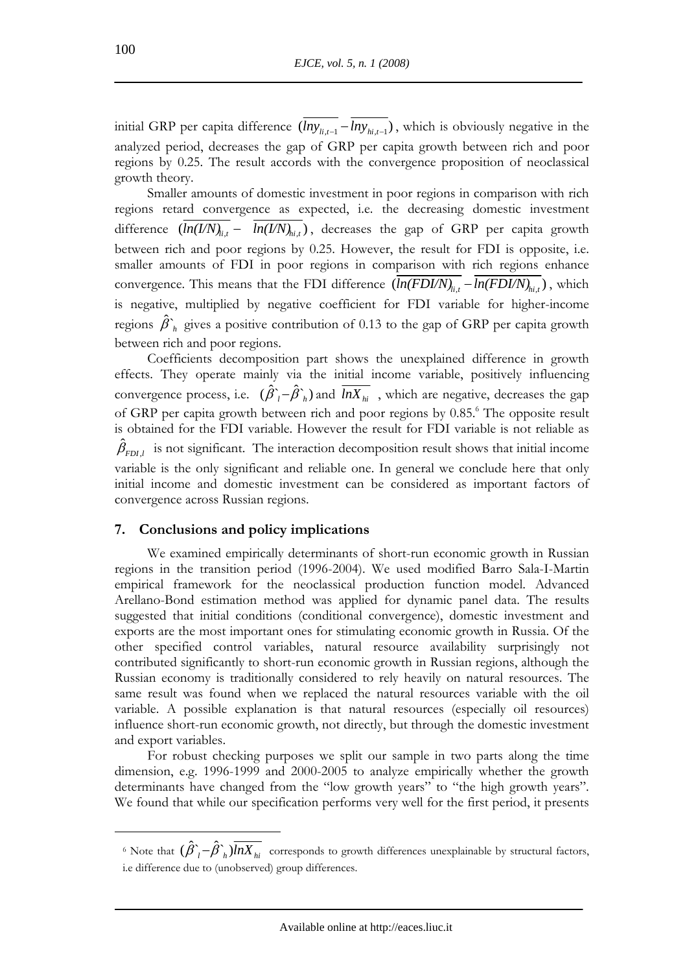initial GRP per capita difference  $(\overline{lny_{i,i-1}} - \overline{lny_{i,i-1}})$ , which is obviously negative in the analyzed period, decreases the gap of GRP per capita growth between rich and poor regions by 0.25. The result accords with the convergence proposition of neoclassical growth theory.

Smaller amounts of domestic investment in poor regions in comparison with rich regions retard convergence as expected, i.e. the decreasing domestic investment difference  $(\overline{ln(L/N)_{h,t}} - \overline{ln(L/N)_{h,t}})$ , decreases the gap of GRP per capita growth between rich and poor regions by 0.25. However, the result for FDI is opposite, i.e. smaller amounts of FDI in poor regions in comparison with rich regions enhance convergence. This means that the FDI difference  $(ln(FDI/N)_{i} - ln(FDI/N)_{i} )$ , which is negative, multiplied by negative coefficient for FDI variable for higher-income regions  $\hat{\beta}$ <sup>r</sup><sub>h</sub> gives a positive contribution of 0.13 to the gap of GRP per capita growth between rich and poor regions.

Coefficients decomposition part shows the unexplained difference in growth effects. They operate mainly via the initial income variable, positively influencing convergence process, i.e.  $(\hat{\beta}_i - \hat{\beta}_h)$  and  $\overline{lnX_{hi}}$ , which are negative, decreases the gap of GRP per capita growth between rich and poor regions by 0.85.<sup>6</sup> The opposite result is obtained for the FDI variable. However the result for FDI variable is not reliable as  $\hat{\beta}_{FDI,l}$  is not significant. The interaction decomposition result shows that initial income variable is the only significant and reliable one. In general we conclude here that only initial income and domestic investment can be considered as important factors of convergence across Russian regions.

## **7. Conclusions and policy implications**

We examined empirically determinants of short-run economic growth in Russian regions in the transition period (1996-2004). We used modified Barro Sala-I-Martin empirical framework for the neoclassical production function model. Advanced Arellano-Bond estimation method was applied for dynamic panel data. The results suggested that initial conditions (conditional convergence), domestic investment and exports are the most important ones for stimulating economic growth in Russia. Of the other specified control variables, natural resource availability surprisingly not contributed significantly to short-run economic growth in Russian regions, although the Russian economy is traditionally considered to rely heavily on natural resources. The same result was found when we replaced the natural resources variable with the oil variable. A possible explanation is that natural resources (especially oil resources) influence short-run economic growth, not directly, but through the domestic investment and export variables.

For robust checking purposes we split our sample in two parts along the time dimension, e.g. 1996-1999 and 2000-2005 to analyze empirically whether the growth determinants have changed from the "low growth years" to "the high growth years". We found that while our specification performs very well for the first period, it presents

<sup>&</sup>lt;sup>6</sup> Note that  $\left(\hat{\beta}^c - \hat{\beta}^c\right)$  *lnX*<sub>*hi*</sub> corresponds to growth differences unexplainable by structural factors, i.e difference due to (unobserved) group differences.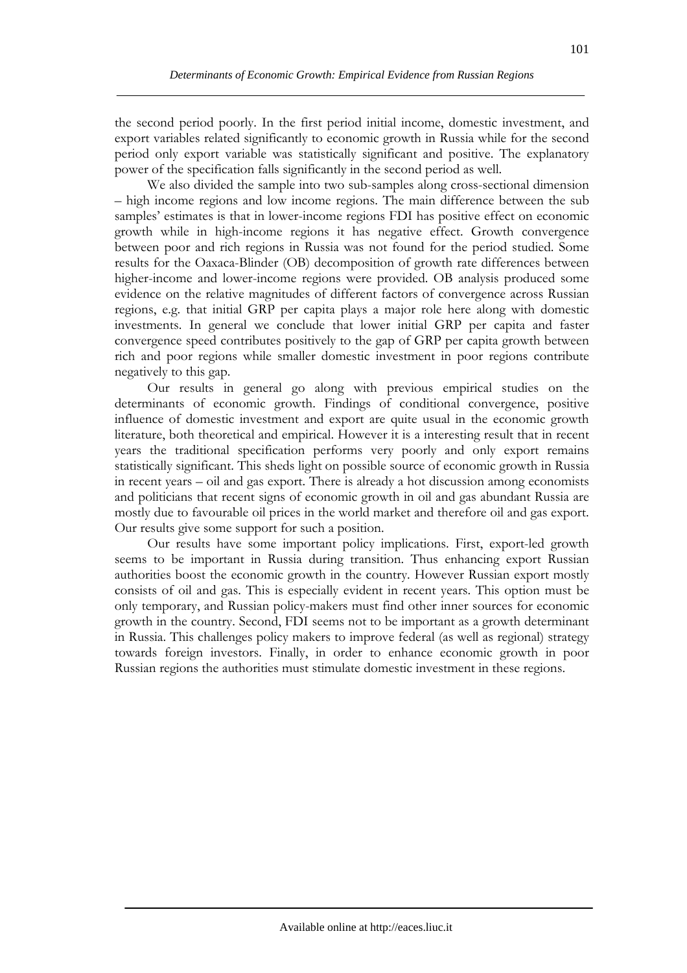the second period poorly. In the first period initial income, domestic investment, and export variables related significantly to economic growth in Russia while for the second period only export variable was statistically significant and positive. The explanatory power of the specification falls significantly in the second period as well.

We also divided the sample into two sub-samples along cross-sectional dimension – high income regions and low income regions. The main difference between the sub samples' estimates is that in lower-income regions FDI has positive effect on economic growth while in high-income regions it has negative effect. Growth convergence between poor and rich regions in Russia was not found for the period studied. Some results for the Oaxaca-Blinder (OB) decomposition of growth rate differences between higher-income and lower-income regions were provided. OB analysis produced some evidence on the relative magnitudes of different factors of convergence across Russian regions, e.g. that initial GRP per capita plays a major role here along with domestic investments. In general we conclude that lower initial GRP per capita and faster convergence speed contributes positively to the gap of GRP per capita growth between rich and poor regions while smaller domestic investment in poor regions contribute negatively to this gap.

Our results in general go along with previous empirical studies on the determinants of economic growth. Findings of conditional convergence, positive influence of domestic investment and export are quite usual in the economic growth literature, both theoretical and empirical. However it is a interesting result that in recent years the traditional specification performs very poorly and only export remains statistically significant. This sheds light on possible source of economic growth in Russia in recent years – oil and gas export. There is already a hot discussion among economists and politicians that recent signs of economic growth in oil and gas abundant Russia are mostly due to favourable oil prices in the world market and therefore oil and gas export. Our results give some support for such a position.

Our results have some important policy implications. First, export-led growth seems to be important in Russia during transition. Thus enhancing export Russian authorities boost the economic growth in the country. However Russian export mostly consists of oil and gas. This is especially evident in recent years. This option must be only temporary, and Russian policy-makers must find other inner sources for economic growth in the country. Second, FDI seems not to be important as a growth determinant in Russia. This challenges policy makers to improve federal (as well as regional) strategy towards foreign investors. Finally, in order to enhance economic growth in poor Russian regions the authorities must stimulate domestic investment in these regions.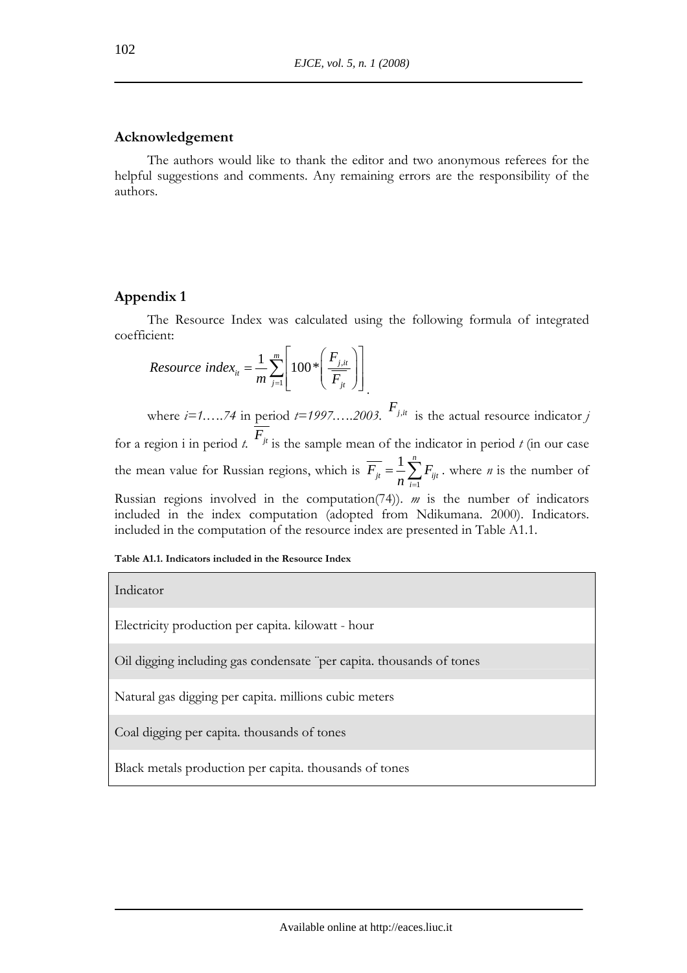# **Acknowledgement**

The authors would like to thank the editor and two anonymous referees for the helpful suggestions and comments. Any remaining errors are the responsibility of the authors.

# **Appendix 1**

The Resource Index was calculated using the following formula of integrated coefficient:

Resource index<sub>it</sub> = 
$$
\frac{1}{m} \sum_{j=1}^{m} \left[ 100 * \left( \frac{F_{j,it}}{F_{jt}} \right) \right]
$$

where  $i=1$ .....74 in period  $t=1997$ .....2003.  $F_{j,i}$  is the actual resource indicator *j* for a region i in period *t*.  $F_{jt}$  is the sample mean of the indicator in period *t* (in our case the mean value for Russian regions, which is 1  $1\frac{n}{2}$  $\mu = -\sum I_{ijt}$ *i*  $F_{ir} = -\sum F_{i}$  $=\frac{1}{n}\sum_{i=1}^{n}F_{ijt}$ . where *n* is the number of Russian regions involved in the computation(74)). *m* is the number of indicators included in the index computation (adopted from Ndikumana. 2000). Indicators. included in the computation of the resource index are presented in Table A1.1.

## **Table A1.1. Indicators included in the Resource Index**

## Indicator

Electricity production per capita. kilowatt - hour

Oil digging including gas condensate ¨per capita. thousands of tones

Natural gas digging per capita. millions cubic meters

Coal digging per capita. thousands of tones

Black metals production per capita. thousands of tones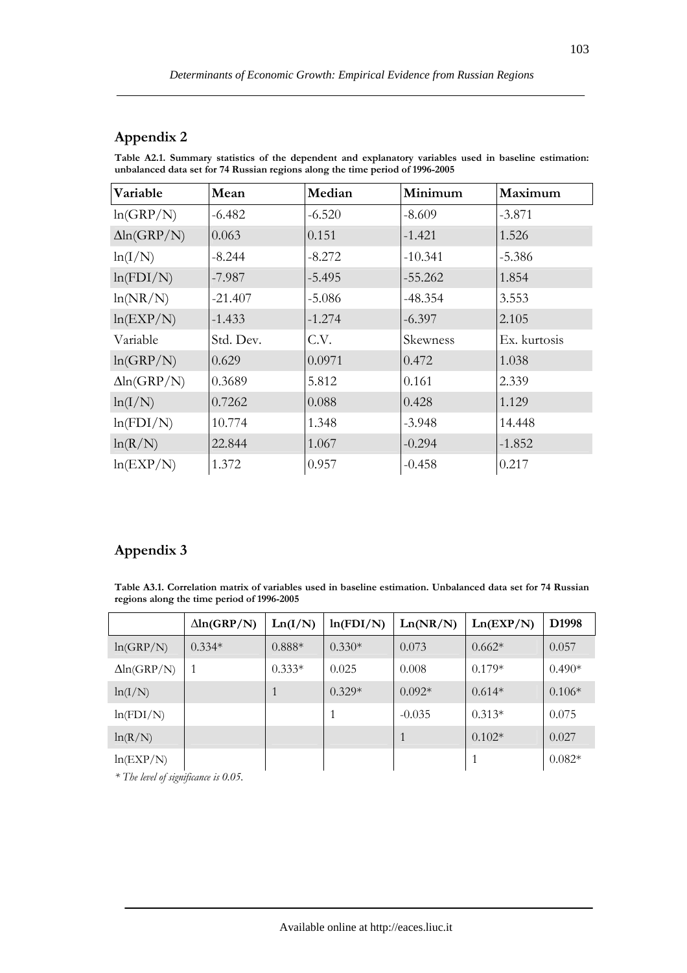# **Appendix 2**

| Table A2.1. Summary statistics of the dependent and explanatory variables used in baseline estimation: |  |  |  |  |  |  |
|--------------------------------------------------------------------------------------------------------|--|--|--|--|--|--|
| unbalanced data set for 74 Russian regions along the time period of 1996-2005                          |  |  |  |  |  |  |

| Variable           | Mean      | Median   | Minimum   | Maximum      |
|--------------------|-----------|----------|-----------|--------------|
| ln(GRP/N)          | $-6.482$  | $-6.520$ | $-8.609$  | $-3.871$     |
| $\Delta$ ln(GRP/N) | 0.063     | 0.151    | $-1.421$  | 1.526        |
| ln(I/N)            | $-8.244$  | $-8.272$ | $-10.341$ | $-5.386$     |
| ln(FDI/N)          | -7.987    | $-5.495$ | $-55.262$ | 1.854        |
| ln(NR/N)           | $-21.407$ | $-5.086$ | $-48.354$ | 3.553        |
| ln(EXP/N)          | $-1.433$  | $-1.274$ | $-6.397$  | 2.105        |
| Variable           | Std. Dev. | C.V.     | Skewness  | Ex. kurtosis |
| ln(GRP/N)          | 0.629     | 0.0971   | 0.472     | 1.038        |
| $\Delta$ ln(GRP/N) | 0.3689    | 5.812    | 0.161     | 2.339        |
| ln(I/N)            | 0.7262    | 0.088    | 0.428     | 1.129        |
| ln(FDI/N)          | 10.774    | 1.348    | $-3.948$  | 14.448       |
| ln(R/N)            | 22.844    | 1.067    | $-0.294$  | $-1.852$     |
| ln(EXP/N)          | 1.372     | 0.957    | $-0.458$  | 0.217        |

# **Appendix 3**

**Table A3.1. Correlation matrix of variables used in baseline estimation. Unbalanced data set for 74 Russian regions along the time period of 1996-2005** 

|                    | $\Delta$ ln(GRP/N) | Ln(I/N)  | ln(FDI/N) | Ln(NR/N) | Ln(EXP/N) | D <sub>1998</sub> |
|--------------------|--------------------|----------|-----------|----------|-----------|-------------------|
| ln(GRP/N)          | $0.334*$           | $0.888*$ | $0.330*$  | 0.073    | $0.662*$  | 0.057             |
| $\Delta$ ln(GRP/N) |                    | $0.333*$ | 0.025     | 0.008    | $0.179*$  | $0.490*$          |
| ln(I/N)            |                    |          | $0.329*$  | $0.092*$ | $0.614*$  | $0.106*$          |
| ln(FDI/N)          |                    |          | 1         | $-0.035$ | $0.313*$  | 0.075             |
| ln(R/N)            |                    |          |           |          | $0.102*$  | 0.027             |
| ln(EXP/N)          |                    |          |           |          | 1         | $0.082*$          |

*\* The level of significance is 0.05.*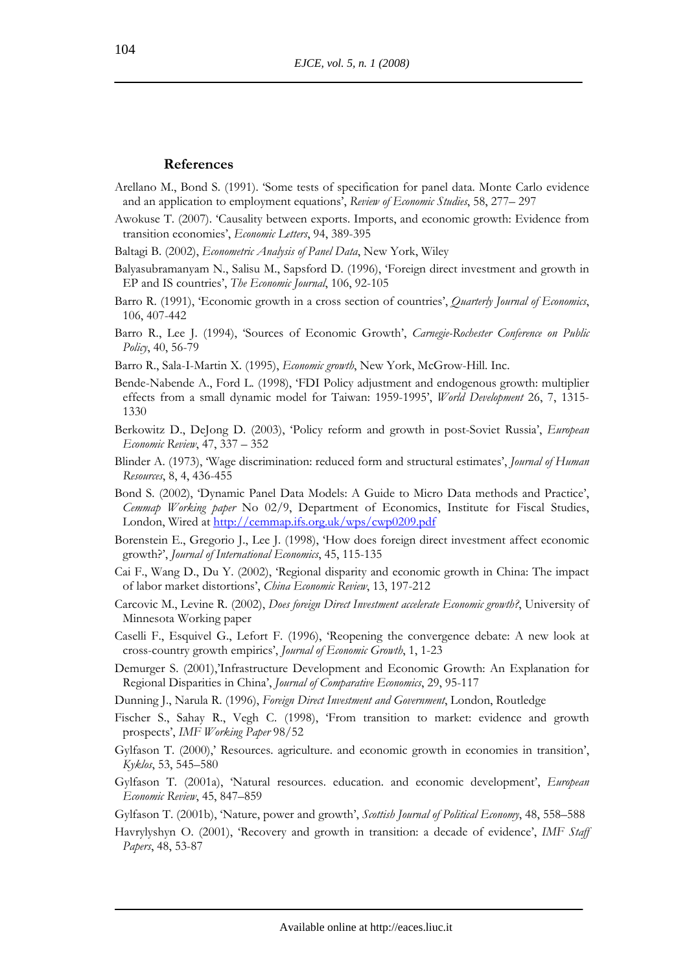#### **References**

- Arellano M., Bond S. (1991). 'Some tests of specification for panel data. Monte Carlo evidence and an application to employment equations', *Review of Economic Studies*, 58, 277– 297
- Awokuse T. (2007). 'Causality between exports. Imports, and economic growth: Evidence from transition economies', *Economic Letters*, 94, 389-395
- Baltagi B. (2002), *Econometric Analysis of Panel Data*, New York, Wiley
- Balyasubramanyam N., Salisu M., Sapsford D. (1996), 'Foreign direct investment and growth in EP and IS countries', *The Economic Journal*, 106, 92-105
- Barro R. (1991), 'Economic growth in a cross section of countries', *Quarterly Journal of Economics*, 106, 407-442
- Barro R., Lee J. (1994), 'Sources of Economic Growth', *Carnegie-Rochester Conference on Public Policy*, 40, 56-79
- Barro R., Sala-I-Martin X. (1995), *Economic growth*, New York, McGrow-Hill. Inc.
- Bende-Nabende A., Ford L. (1998), 'FDI Policy adjustment and endogenous growth: multiplier effects from a small dynamic model for Taiwan: 1959-1995', *World Development* 26, 7, 1315- 1330
- Berkowitz D., DeJong D. (2003), 'Policy reform and growth in post-Soviet Russia', *European Economic Review*, 47, 337 – 352
- Blinder A. (1973), 'Wage discrimination: reduced form and structural estimates', *Journal of Human Resources*, 8, 4, 436-455
- Bond S. (2002), 'Dynamic Panel Data Models: A Guide to Micro Data methods and Practice', *Cemmap Working paper* No 02/9, Department of Economics, Institute for Fiscal Studies, London, Wired at http://cemmap.ifs.org.uk/wps/cwp0209.pdf
- Borenstein E., Gregorio J., Lee J. (1998), 'How does foreign direct investment affect economic growth?', *Journal of International Economics*, 45, 115-135
- Cai F., Wang D., Du Y. (2002), 'Regional disparity and economic growth in China: The impact of labor market distortions', *China Economic Review*, 13, 197-212
- Carcovic M., Levine R. (2002), *Does foreign Direct Investment accelerate Economic growth?*, University of Minnesota Working paper
- Caselli F., Esquivel G., Lefort F. (1996), 'Reopening the convergence debate: A new look at cross-country growth empirics', *Journal of Economic Growth*, 1, 1-23
- Demurger S. (2001),'Infrastructure Development and Economic Growth: An Explanation for Regional Disparities in China', *Journal of Comparative Economics*, 29, 95-117
- Dunning J., Narula R. (1996), *Foreign Direct Investment and Government*, London, Routledge
- Fischer S., Sahay R., Vegh C. (1998), 'From transition to market: evidence and growth prospects', *IMF Working Paper* 98/52
- Gylfason T. (2000),' Resources. agriculture. and economic growth in economies in transition', *Kyklos*, 53, 545–580
- Gylfason T. (2001a), 'Natural resources. education. and economic development', *European Economic Review*, 45, 847–859
- Gylfason T. (2001b), 'Nature, power and growth', *Scottish Journal of Political Economy*, 48, 558–588
- Havrylyshyn O. (2001), 'Recovery and growth in transition: a decade of evidence', *IMF Staff Papers*, 48, 53-87